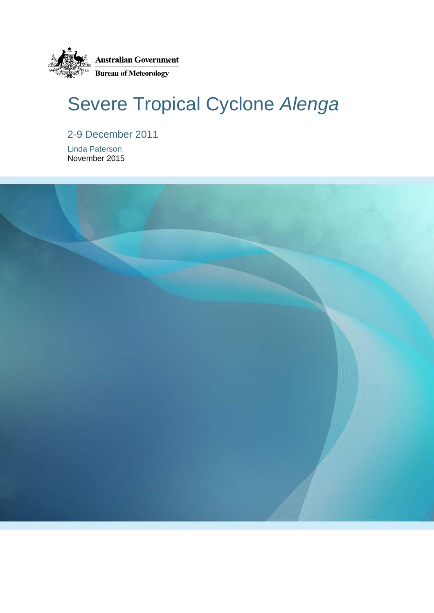

# Severe Tropical Cyclone *Alenga*

2-9 December 2011

Linda Paterson November 2015

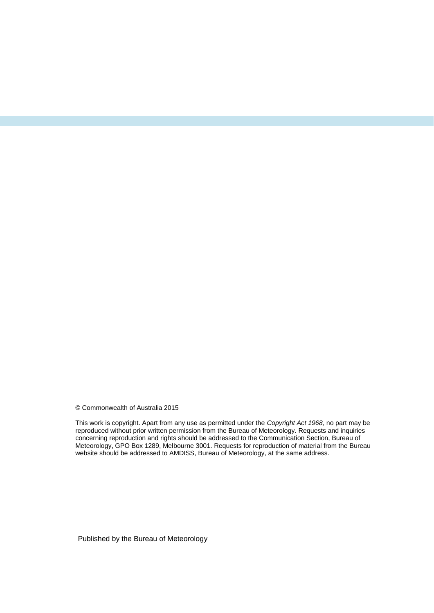© Commonwealth of Australia 2015

This work is copyright. Apart from any use as permitted under the *Copyright Act 1968*, no part may be reproduced without prior written permission from the Bureau of Meteorology. Requests and inquiries concerning reproduction and rights should be addressed to the Communication Section, Bureau of Meteorology, GPO Box 1289, Melbourne 3001. Requests for reproduction of material from the Bureau website should be addressed to AMDISS, Bureau of Meteorology, at the same address.

Published by the Bureau of Meteorology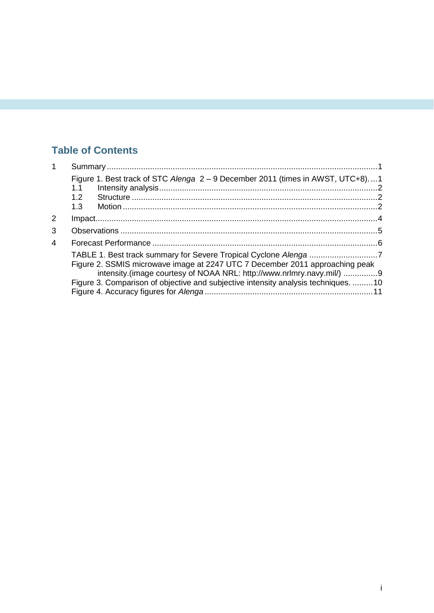### **Table of Contents**

| 1              |                                                                                                                                                                                                                                                                                                                 |  |
|----------------|-----------------------------------------------------------------------------------------------------------------------------------------------------------------------------------------------------------------------------------------------------------------------------------------------------------------|--|
|                | Figure 1. Best track of STC Alenga 2 – 9 December 2011 (times in AWST, UTC+8)1<br>1.1                                                                                                                                                                                                                           |  |
|                | 1.2                                                                                                                                                                                                                                                                                                             |  |
|                | 1.3                                                                                                                                                                                                                                                                                                             |  |
| 2              |                                                                                                                                                                                                                                                                                                                 |  |
| 3              |                                                                                                                                                                                                                                                                                                                 |  |
| $\overline{4}$ |                                                                                                                                                                                                                                                                                                                 |  |
|                | TABLE 1. Best track summary for Severe Tropical Cyclone Alenga 7<br>Figure 2. SSMIS microwave image at 2247 UTC 7 December 2011 approaching peak<br>intensity.(image courtesy of NOAA NRL: http://www.nrlmry.navy.mil/) 9<br>Figure 3. Comparison of objective and subjective intensity analysis techniques. 10 |  |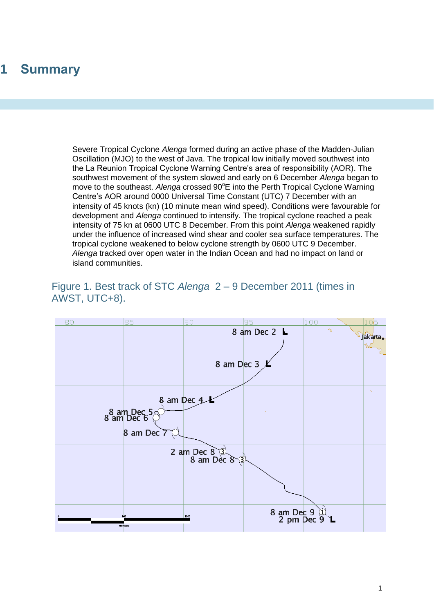# <span id="page-4-0"></span>**1 Summary**

Severe Tropical Cyclone *Alenga* formed during an active phase of the Madden-Julian Oscillation (MJO) to the west of Java. The tropical low initially moved southwest into the La Reunion Tropical Cyclone Warning Centre's area of responsibility (AOR). The southwest movement of the system slowed and early on 6 December *Alenga* began to move to the southeast. Alenga crossed 90°E into the Perth Tropical Cyclone Warning Centre's AOR around 0000 Universal Time Constant (UTC) 7 December with an intensity of 45 knots (kn) (10 minute mean wind speed). Conditions were favourable for development and *Alenga* continued to intensify. The tropical cyclone reached a peak intensity of 75 kn at 0600 UTC 8 December. From this point *Alenga* weakened rapidly under the influence of increased wind shear and cooler sea surface temperatures. The tropical cyclone weakened to below cyclone strength by 0600 UTC 9 December. *Alenga* tracked over open water in the Indian Ocean and had no impact on land or island communities.

<span id="page-4-1"></span>

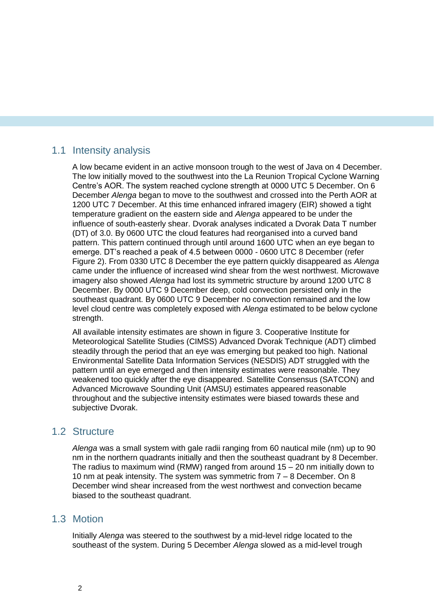### <span id="page-5-0"></span>1.1 Intensity analysis

A low became evident in an active monsoon trough to the west of Java on 4 December. The low initially moved to the southwest into the La Reunion Tropical Cyclone Warning Centre's AOR. The system reached cyclone strength at 0000 UTC 5 December. On 6 December *Alenga* began to move to the southwest and crossed into the Perth AOR at 1200 UTC 7 December. At this time enhanced infrared imagery (EIR) showed a tight temperature gradient on the eastern side and *Alenga* appeared to be under the influence of south-easterly shear. Dvorak analyses indicated a Dvorak Data T number (DT) of 3.0. By 0600 UTC the cloud features had reorganised into a curved band pattern. This pattern continued through until around 1600 UTC when an eye began to emerge. DT's reached a peak of 4.5 between 0000 - 0600 UTC 8 December (refer Figure 2). From 0330 UTC 8 December the eye pattern quickly disappeared as *Alenga* came under the influence of increased wind shear from the west northwest. Microwave imagery also showed *Alenga* had lost its symmetric structure by around 1200 UTC 8 December. By 0000 UTC 9 December deep, cold convection persisted only in the southeast quadrant. By 0600 UTC 9 December no convection remained and the low level cloud centre was completely exposed with *Alenga* estimated to be below cyclone strength.

All available intensity estimates are shown in figure 3. Cooperative Institute for Meteorological Satellite Studies (CIMSS) Advanced Dvorak Technique (ADT) climbed steadily through the period that an eye was emerging but peaked too high. National Environmental Satellite Data Information Services (NESDIS) ADT struggled with the pattern until an eye emerged and then intensity estimates were reasonable. They weakened too quickly after the eye disappeared. Satellite Consensus (SATCON) and Advanced Microwave Sounding Unit (AMSU) estimates appeared reasonable throughout and the subjective intensity estimates were biased towards these and subjective Dvorak.

#### <span id="page-5-1"></span>1.2 Structure

*Alenga* was a small system with gale radii ranging from 60 nautical mile (nm) up to 90 nm in the northern quadrants initially and then the southeast quadrant by 8 December. The radius to maximum wind (RMW) ranged from around 15 – 20 nm initially down to 10 nm at peak intensity. The system was symmetric from 7 – 8 December. On 8 December wind shear increased from the west northwest and convection became biased to the southeast quadrant.

#### <span id="page-5-2"></span>1.3 Motion

Initially *Alenga* was steered to the southwest by a mid-level ridge located to the southeast of the system. During 5 December *Alenga* slowed as a mid-level trough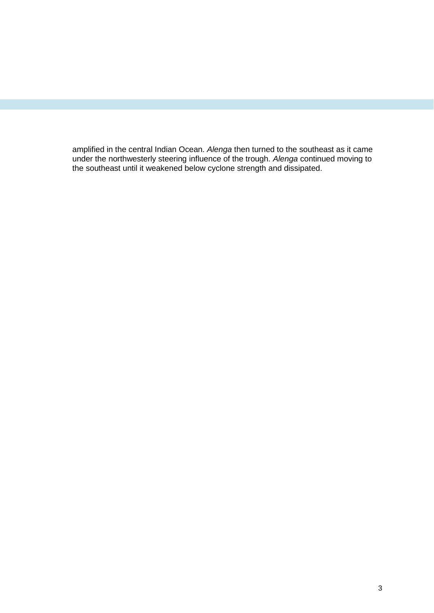amplified in the central Indian Ocean. *Alenga* then turned to the southeast as it came under the northwesterly steering influence of the trough. *Alenga* continued moving to the southeast until it weakened below cyclone strength and dissipated.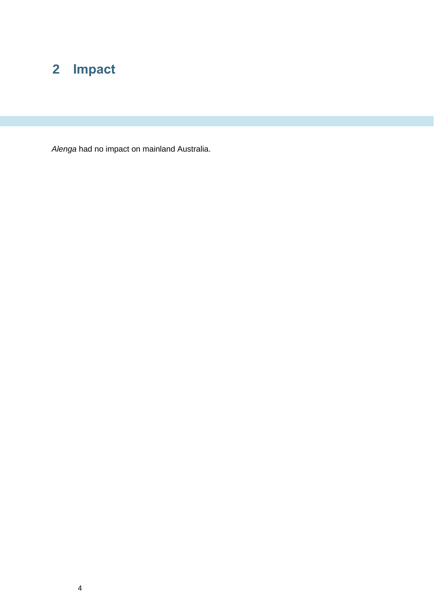# <span id="page-7-0"></span>**Impact**

*Alenga* had no impact on mainland Australia.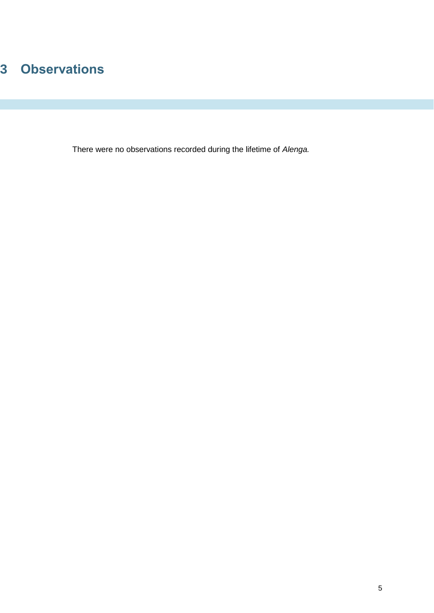# <span id="page-8-0"></span>**Observations**

There were no observations recorded during the lifetime of *Alenga.*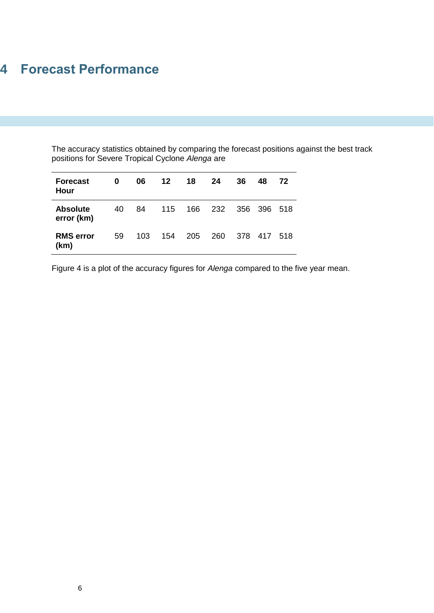# <span id="page-9-0"></span>**4 Forecast Performance**

The accuracy statistics obtained by comparing the forecast positions against the best track positions for Severe Tropical Cyclone *Alenga* are

| <b>Forecast</b><br>Hour       | 0  | 06  | 12 <sup>°</sup> | 18  | 24  | 36  | 48      | 72   |
|-------------------------------|----|-----|-----------------|-----|-----|-----|---------|------|
| <b>Absolute</b><br>error (km) | 40 | 84  | 115             | 166 | 232 | 356 | 396 518 |      |
| <b>RMS</b> error<br>(km)      | 59 | 103 | 154             | 205 | 260 | 378 | -417    | -518 |

Figure 4 is a plot of the accuracy figures for *Alenga* compared to the five year mean.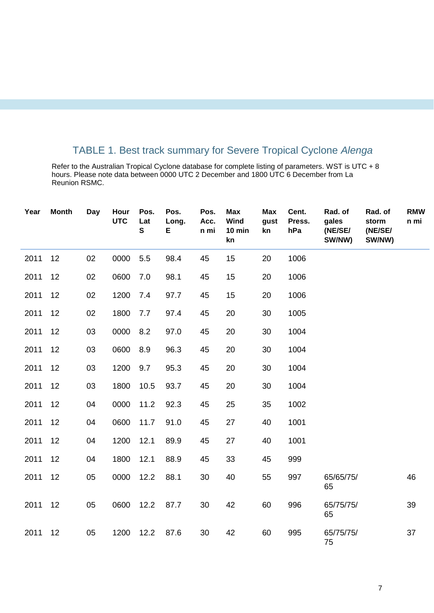### TABLE 1. Best track summary for Severe Tropical Cyclone *Alenga*

<span id="page-10-0"></span>Refer to the Australian Tropical Cyclone database for complete listing of parameters. WST is UTC + 8 hours. Please note data between 0000 UTC 2 December and 1800 UTC 6 December from La Reunion RSMC.

| Year | <b>Month</b> | <b>Day</b> | Hour<br><b>UTC</b> | Pos.<br>Lat<br>$\mathbf{s}$ | Pos.<br>Long.<br>Е | Pos.<br>Acc.<br>n mi | <b>Max</b><br>Wind<br>10 min<br>kn | <b>Max</b><br>gust<br>kn | Cent.<br>Press.<br>hPa | Rad. of<br>gales<br>(NE/SE/<br>SW/NW) | Rad. of<br>storm<br>(NE/SE/<br>SW/NW) | <b>RMW</b><br>n mi |
|------|--------------|------------|--------------------|-----------------------------|--------------------|----------------------|------------------------------------|--------------------------|------------------------|---------------------------------------|---------------------------------------|--------------------|
| 2011 | 12           | 02         | 0000               | 5.5                         | 98.4               | 45                   | 15                                 | 20                       | 1006                   |                                       |                                       |                    |
| 2011 | 12           | 02         | 0600               | 7.0                         | 98.1               | 45                   | 15                                 | 20                       | 1006                   |                                       |                                       |                    |
| 2011 | 12           | 02         | 1200               | 7.4                         | 97.7               | 45                   | 15                                 | 20                       | 1006                   |                                       |                                       |                    |
| 2011 | 12           | 02         | 1800               | 7.7                         | 97.4               | 45                   | 20                                 | 30                       | 1005                   |                                       |                                       |                    |
| 2011 | 12           | 03         | 0000               | 8.2                         | 97.0               | 45                   | 20                                 | 30                       | 1004                   |                                       |                                       |                    |
| 2011 | 12           | 03         | 0600               | 8.9                         | 96.3               | 45                   | 20                                 | 30                       | 1004                   |                                       |                                       |                    |
| 2011 | 12           | 03         | 1200               | 9.7                         | 95.3               | 45                   | 20                                 | 30                       | 1004                   |                                       |                                       |                    |
| 2011 | 12           | 03         | 1800               | 10.5                        | 93.7               | 45                   | 20                                 | 30                       | 1004                   |                                       |                                       |                    |
| 2011 | 12           | 04         | 0000               | 11.2                        | 92.3               | 45                   | 25                                 | 35                       | 1002                   |                                       |                                       |                    |
| 2011 | 12           | 04         | 0600               | 11.7                        | 91.0               | 45                   | 27                                 | 40                       | 1001                   |                                       |                                       |                    |
| 2011 | 12           | 04         | 1200               | 12.1                        | 89.9               | 45                   | 27                                 | 40                       | 1001                   |                                       |                                       |                    |
| 2011 | 12           | 04         | 1800               | 12.1                        | 88.9               | 45                   | 33                                 | 45                       | 999                    |                                       |                                       |                    |
| 2011 | 12           | 05         | 0000               | 12.2                        | 88.1               | 30                   | 40                                 | 55                       | 997                    | 65/65/75/<br>65                       |                                       | 46                 |
| 2011 | 12           | 05         | 0600               | 12.2                        | 87.7               | 30                   | 42                                 | 60                       | 996                    | 65/75/75/<br>65                       |                                       | 39                 |
| 2011 | 12           | 05         | 1200               | 12.2                        | 87.6               | 30                   | 42                                 | 60                       | 995                    | 65/75/75/<br>75                       |                                       | 37                 |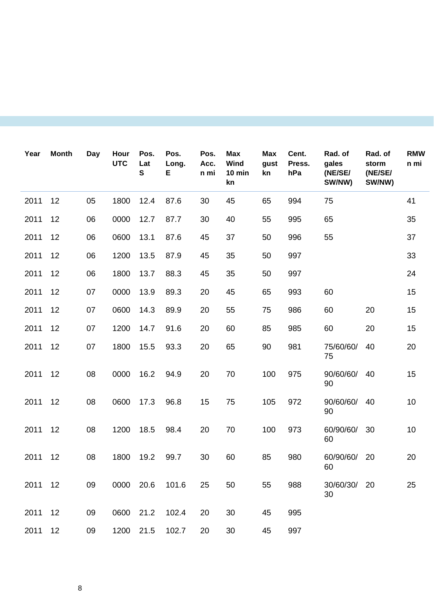| Year    | <b>Month</b> | Day | Hour<br><b>UTC</b> | Pos.<br>Lat<br>S | Pos.<br>Long.<br>Е | Pos.<br>Acc.<br>n mi | <b>Max</b><br>Wind<br>$10$ min<br>kn | <b>Max</b><br>gust<br>kn | Cent.<br>Press.<br>hPa | Rad. of<br>gales<br>(NE/SE/<br>SW/NW) | Rad. of<br>storm<br>(NE/SE/<br>SW/NW) | <b>RMW</b><br>n mi |
|---------|--------------|-----|--------------------|------------------|--------------------|----------------------|--------------------------------------|--------------------------|------------------------|---------------------------------------|---------------------------------------|--------------------|
| 2011    | 12           | 05  | 1800               | 12.4             | 87.6               | 30                   | 45                                   | 65                       | 994                    | 75                                    |                                       | 41                 |
| 2011    | 12           | 06  | 0000               | 12.7             | 87.7               | 30                   | 40                                   | 55                       | 995                    | 65                                    |                                       | 35                 |
| 2011    | 12           | 06  | 0600               | 13.1             | 87.6               | 45                   | 37                                   | 50                       | 996                    | 55                                    |                                       | 37                 |
| 2011    | 12           | 06  | 1200               | 13.5             | 87.9               | 45                   | 35                                   | 50                       | 997                    |                                       |                                       | 33                 |
| 2011    | 12           | 06  | 1800               | 13.7             | 88.3               | 45                   | 35                                   | 50                       | 997                    |                                       |                                       | 24                 |
| 2011    | 12           | 07  | 0000               | 13.9             | 89.3               | 20                   | 45                                   | 65                       | 993                    | 60                                    |                                       | 15                 |
| 2011    | 12           | 07  | 0600               | 14.3             | 89.9               | 20                   | 55                                   | 75                       | 986                    | 60                                    | 20                                    | 15                 |
| 2011    | 12           | 07  | 1200               | 14.7             | 91.6               | 20                   | 60                                   | 85                       | 985                    | 60                                    | 20                                    | 15                 |
| 2011    | 12           | 07  | 1800               | 15.5             | 93.3               | 20                   | 65                                   | 90                       | 981                    | 75/60/60/<br>75                       | 40                                    | 20                 |
| 2011    | 12           | 08  | 0000               | 16.2             | 94.9               | 20                   | 70                                   | 100                      | 975                    | 90/60/60/<br>90                       | 40                                    | 15                 |
| 2011    | 12           | 08  | 0600               | 17.3             | 96.8               | 15                   | 75                                   | 105                      | 972                    | 90/60/60/<br>90                       | 40                                    | 10                 |
| 2011    | 12           | 08  | 1200               | 18.5             | 98.4               | 20                   | 70                                   | 100                      | 973                    | 60/90/60/<br>60                       | 30                                    | 10                 |
| 2011    | 12           | 08  | 1800               | 19.2             | 99.7               | 30                   | 60                                   | 85                       | 980                    | 60/90/60/<br>60                       | 20                                    | 20                 |
| 2011 12 |              | 09  | 0000 20.6          |                  | 101.6              | 25                   | 50                                   | 55                       | 988                    | 30/60/30/ 20<br>30                    |                                       | 25                 |
| 2011    | 12           | 09  | 0600 21.2          |                  | 102.4              | 20                   | 30                                   | 45                       | 995                    |                                       |                                       |                    |
| 2011    | 12           | 09  | 1200 21.5          |                  | 102.7              | 20                   | 30                                   | 45                       | 997                    |                                       |                                       |                    |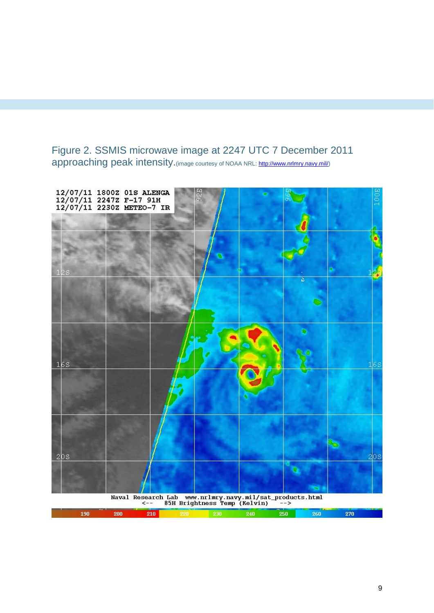### <span id="page-12-0"></span>Figure 2. SSMIS microwave image at 2247 UTC 7 December 2011 approaching peak intensity.(image courtesy of NOAA NRL[: http://www.nrlmry.navy.mil/\)](http://www.nrlmry.navy.mil/)



|  |     | ______ |  |  |      |  |
|--|-----|--------|--|--|------|--|
|  | onn |        |  |  | ות ע |  |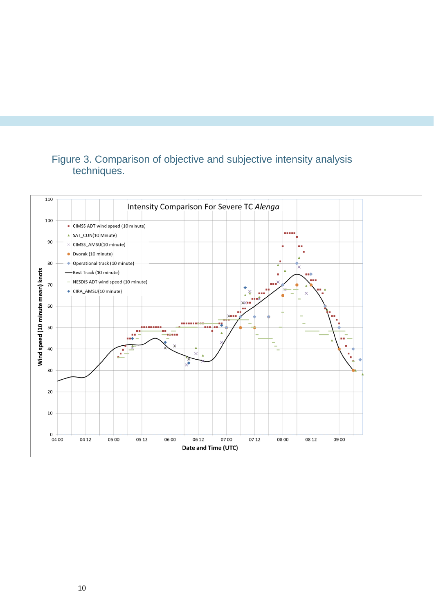### <span id="page-13-0"></span>Figure 3. Comparison of objective and subjective intensity analysis techniques.